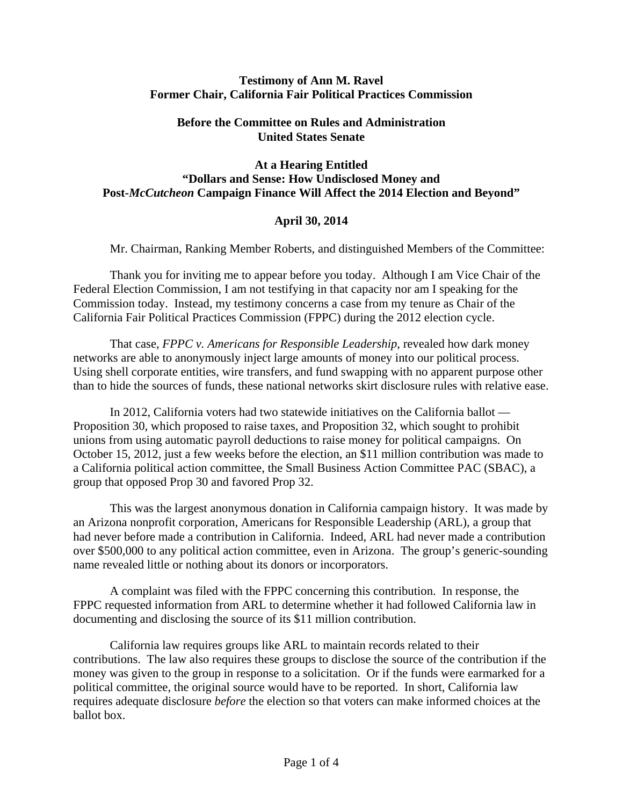## **Testimony of Ann M. Ravel Former Chair, California Fair Political Practices Commission**

## **Before the Committee on Rules and Administration United States Senate**

## **At a Hearing Entitled "Dollars and Sense: How Undisclosed Money and Post-***McCutcheon* **Campaign Finance Will Affect the 2014 Election and Beyond"**

## **April 30, 2014**

Mr. Chairman, Ranking Member Roberts, and distinguished Members of the Committee:

Thank you for inviting me to appear before you today. Although I am Vice Chair of the Federal Election Commission, I am not testifying in that capacity nor am I speaking for the Commission today. Instead, my testimony concerns a case from my tenure as Chair of the California Fair Political Practices Commission (FPPC) during the 2012 election cycle.

That case, *FPPC v. Americans for Responsible Leadership*, revealed how dark money networks are able to anonymously inject large amounts of money into our political process. Using shell corporate entities, wire transfers, and fund swapping with no apparent purpose other than to hide the sources of funds, these national networks skirt disclosure rules with relative ease.

In 2012, California voters had two statewide initiatives on the California ballot — Proposition 30, which proposed to raise taxes, and Proposition 32, which sought to prohibit unions from using automatic payroll deductions to raise money for political campaigns. On October 15, 2012, just a few weeks before the election, an \$11 million contribution was made to a California political action committee, the Small Business Action Committee PAC (SBAC), a group that opposed Prop 30 and favored Prop 32.

This was the largest anonymous donation in California campaign history. It was made by an Arizona nonprofit corporation, Americans for Responsible Leadership (ARL), a group that had never before made a contribution in California. Indeed, ARL had never made a contribution over \$500,000 to any political action committee, even in Arizona. The group's generic-sounding name revealed little or nothing about its donors or incorporators.

A complaint was filed with the FPPC concerning this contribution. In response, the FPPC requested information from ARL to determine whether it had followed California law in documenting and disclosing the source of its \$11 million contribution.

California law requires groups like ARL to maintain records related to their contributions. The law also requires these groups to disclose the source of the contribution if the money was given to the group in response to a solicitation. Or if the funds were earmarked for a political committee, the original source would have to be reported. In short, California law requires adequate disclosure *before* the election so that voters can make informed choices at the ballot box.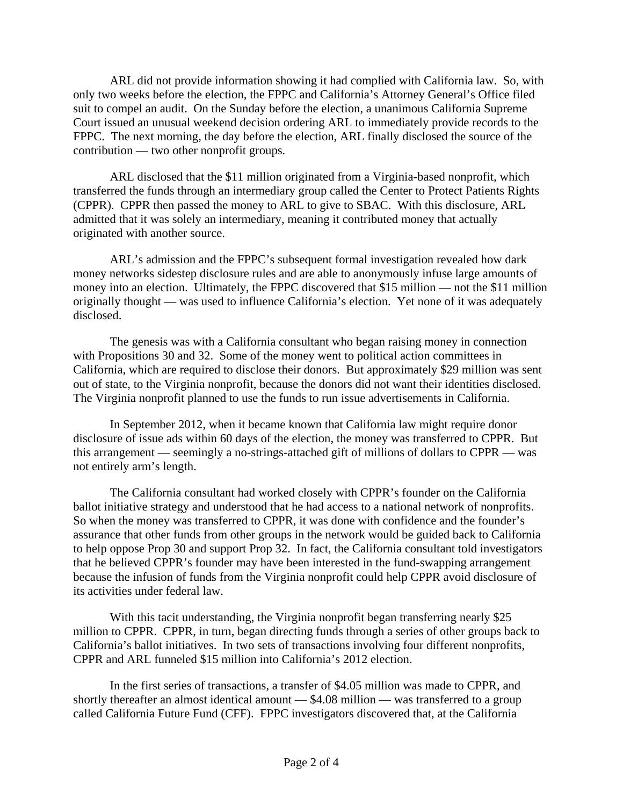ARL did not provide information showing it had complied with California law. So, with only two weeks before the election, the FPPC and California's Attorney General's Office filed suit to compel an audit. On the Sunday before the election, a unanimous California Supreme Court issued an unusual weekend decision ordering ARL to immediately provide records to the FPPC. The next morning, the day before the election, ARL finally disclosed the source of the contribution — two other nonprofit groups.

ARL disclosed that the \$11 million originated from a Virginia-based nonprofit, which transferred the funds through an intermediary group called the Center to Protect Patients Rights (CPPR). CPPR then passed the money to ARL to give to SBAC. With this disclosure, ARL admitted that it was solely an intermediary, meaning it contributed money that actually originated with another source.

ARL's admission and the FPPC's subsequent formal investigation revealed how dark money networks sidestep disclosure rules and are able to anonymously infuse large amounts of money into an election. Ultimately, the FPPC discovered that \$15 million — not the \$11 million originally thought — was used to influence California's election. Yet none of it was adequately disclosed.

The genesis was with a California consultant who began raising money in connection with Propositions 30 and 32. Some of the money went to political action committees in California, which are required to disclose their donors. But approximately \$29 million was sent out of state, to the Virginia nonprofit, because the donors did not want their identities disclosed. The Virginia nonprofit planned to use the funds to run issue advertisements in California.

In September 2012, when it became known that California law might require donor disclosure of issue ads within 60 days of the election, the money was transferred to CPPR. But this arrangement — seemingly a no-strings-attached gift of millions of dollars to CPPR — was not entirely arm's length.

The California consultant had worked closely with CPPR's founder on the California ballot initiative strategy and understood that he had access to a national network of nonprofits. So when the money was transferred to CPPR, it was done with confidence and the founder's assurance that other funds from other groups in the network would be guided back to California to help oppose Prop 30 and support Prop 32. In fact, the California consultant told investigators that he believed CPPR's founder may have been interested in the fund-swapping arrangement because the infusion of funds from the Virginia nonprofit could help CPPR avoid disclosure of its activities under federal law.

With this tacit understanding, the Virginia nonprofit began transferring nearly \$25 million to CPPR. CPPR, in turn, began directing funds through a series of other groups back to California's ballot initiatives. In two sets of transactions involving four different nonprofits, CPPR and ARL funneled \$15 million into California's 2012 election.

In the first series of transactions, a transfer of \$4.05 million was made to CPPR, and shortly thereafter an almost identical amount — \$4.08 million — was transferred to a group called California Future Fund (CFF). FPPC investigators discovered that, at the California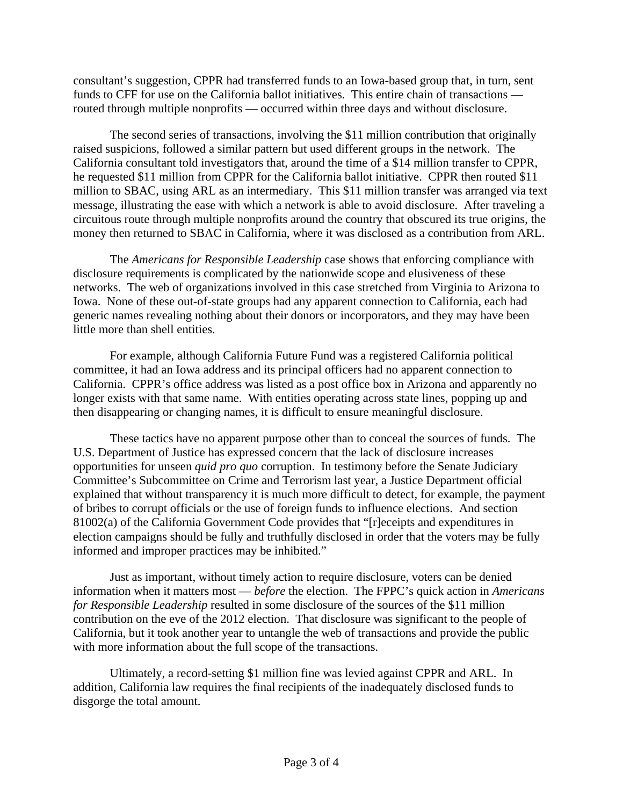consultant's suggestion, CPPR had transferred funds to an Iowa-based group that, in turn, sent funds to CFF for use on the California ballot initiatives. This entire chain of transactions routed through multiple nonprofits — occurred within three days and without disclosure.

The second series of transactions, involving the \$11 million contribution that originally raised suspicions, followed a similar pattern but used different groups in the network. The California consultant told investigators that, around the time of a \$14 million transfer to CPPR, he requested \$11 million from CPPR for the California ballot initiative. CPPR then routed \$11 million to SBAC, using ARL as an intermediary. This \$11 million transfer was arranged via text message, illustrating the ease with which a network is able to avoid disclosure. After traveling a circuitous route through multiple nonprofits around the country that obscured its true origins, the money then returned to SBAC in California, where it was disclosed as a contribution from ARL.

The *Americans for Responsible Leadership* case shows that enforcing compliance with disclosure requirements is complicated by the nationwide scope and elusiveness of these networks. The web of organizations involved in this case stretched from Virginia to Arizona to Iowa. None of these out-of-state groups had any apparent connection to California, each had generic names revealing nothing about their donors or incorporators, and they may have been little more than shell entities.

For example, although California Future Fund was a registered California political committee, it had an Iowa address and its principal officers had no apparent connection to California. CPPR's office address was listed as a post office box in Arizona and apparently no longer exists with that same name. With entities operating across state lines, popping up and then disappearing or changing names, it is difficult to ensure meaningful disclosure.

These tactics have no apparent purpose other than to conceal the sources of funds. The U.S. Department of Justice has expressed concern that the lack of disclosure increases opportunities for unseen *quid pro quo* corruption. In testimony before the Senate Judiciary Committee's Subcommittee on Crime and Terrorism last year, a Justice Department official explained that without transparency it is much more difficult to detect, for example, the payment of bribes to corrupt officials or the use of foreign funds to influence elections. And section 81002(a) of the California Government Code provides that "[r]eceipts and expenditures in election campaigns should be fully and truthfully disclosed in order that the voters may be fully informed and improper practices may be inhibited."

Just as important, without timely action to require disclosure, voters can be denied information when it matters most — *before* the election. The FPPC's quick action in *Americans for Responsible Leadership* resulted in some disclosure of the sources of the \$11 million contribution on the eve of the 2012 election. That disclosure was significant to the people of California, but it took another year to untangle the web of transactions and provide the public with more information about the full scope of the transactions.

Ultimately, a record-setting \$1 million fine was levied against CPPR and ARL. In addition, California law requires the final recipients of the inadequately disclosed funds to disgorge the total amount.